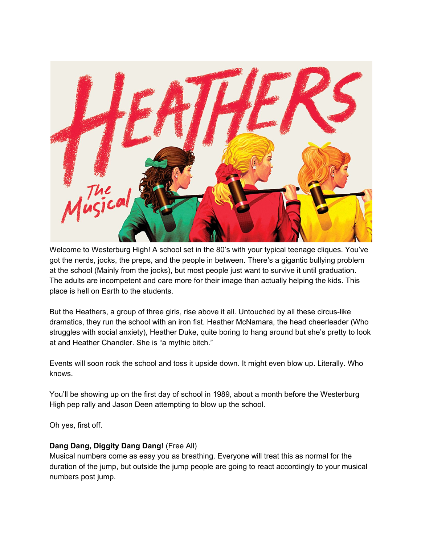

Welcome to Westerburg High! A school set in the 80's with your typical teenage cliques. You've got the nerds, jocks, the preps, and the people in between. There's a gigantic bullying problem at the school (Mainly from the jocks), but most people just want to survive it until graduation. The adults are incompetent and care more for their image than actually helping the kids. This place is hell on Earth to the students.

But the Heathers, a group of three girls, rise above it all. Untouched by all these circus-like dramatics, they run the school with an iron fist. Heather McNamara, the head cheerleader (Who struggles with social anxiety), Heather Duke, quite boring to hang around but she's pretty to look at and Heather Chandler. She is "a mythic bitch."

Events will soon rock the school and toss it upside down. It might even blow up. Literally. Who knows.

You'll be showing up on the first day of school in 1989, about a month before the Westerburg High pep rally and Jason Deen attempting to blow up the school.

Oh yes, first off.

## **Dang Dang, Diggity Dang Dang!** (Free All)

Musical numbers come as easy you as breathing. Everyone will treat this as normal for the duration of the jump, but outside the jump people are going to react accordingly to your musical numbers post jump.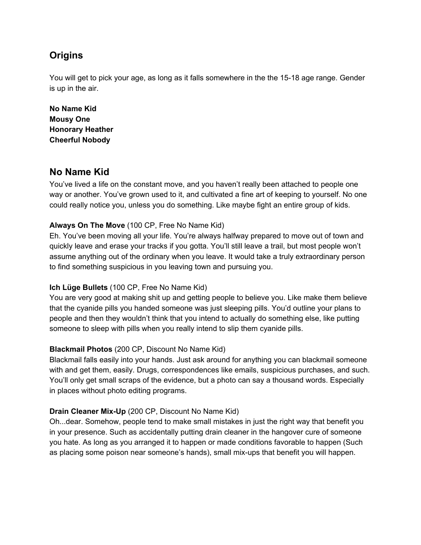# **Origins**

You will get to pick your age, as long as it falls somewhere in the the 15-18 age range. Gender is up in the air.

**No Name Kid Mousy One Honorary Heather Cheerful Nobody**

# **No Name Kid**

You've lived a life on the constant move, and you haven't really been attached to people one way or another. You've grown used to it, and cultivated a fine art of keeping to yourself. No one could really notice you, unless you do something. Like maybe fight an entire group of kids.

## **Always On The Move** (100 CP, Free No Name Kid)

Eh. You've been moving all your life. You're always halfway prepared to move out of town and quickly leave and erase your tracks if you gotta. You'll still leave a trail, but most people won't assume anything out of the ordinary when you leave. It would take a truly extraordinary person to find something suspicious in you leaving town and pursuing you.

## **Ich Lüge Bullets** (100 CP, Free No Name Kid)

You are very good at making shit up and getting people to believe you. Like make them believe that the cyanide pills you handed someone was just sleeping pills. You'd outline your plans to people and then they wouldn't think that you intend to actually do something else, like putting someone to sleep with pills when you really intend to slip them cyanide pills.

## **Blackmail Photos** (200 CP, Discount No Name Kid)

Blackmail falls easily into your hands. Just ask around for anything you can blackmail someone with and get them, easily. Drugs, correspondences like emails, suspicious purchases, and such. You'll only get small scraps of the evidence, but a photo can say a thousand words. Especially in places without photo editing programs.

## **Drain Cleaner Mix-Up** (200 CP, Discount No Name Kid)

Oh...dear. Somehow, people tend to make small mistakes in just the right way that benefit you in your presence. Such as accidentally putting drain cleaner in the hangover cure of someone you hate. As long as you arranged it to happen or made conditions favorable to happen (Such as placing some poison near someone's hands), small mix-ups that benefit you will happen.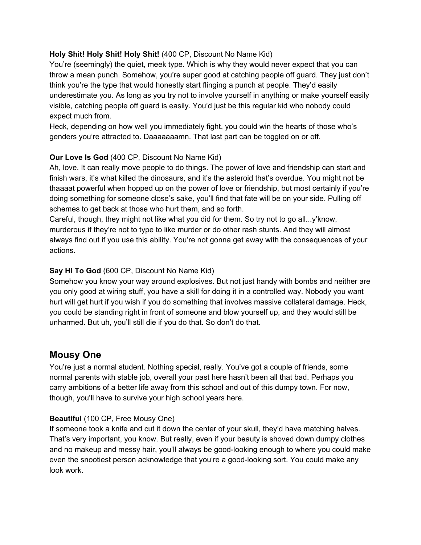## **Holy Shit! Holy Shit! Holy Shit!** (400 CP, Discount No Name Kid)

You're (seemingly) the quiet, meek type. Which is why they would never expect that you can throw a mean punch. Somehow, you're super good at catching people off guard. They just don't think you're the type that would honestly start flinging a punch at people. They'd easily underestimate you. As long as you try not to involve yourself in anything or make yourself easily visible, catching people off guard is easily. You'd just be this regular kid who nobody could expect much from.

Heck, depending on how well you immediately fight, you could win the hearts of those who's genders you're attracted to. Daaaaaaamn. That last part can be toggled on or off.

# **Our Love Is God** (400 CP, Discount No Name Kid)

Ah, love. It can really move people to do things. The power of love and friendship can start and finish wars, it's what killed the dinosaurs, and it's the asteroid that's overdue. You might not be thaaaat powerful when hopped up on the power of love or friendship, but most certainly if you're doing something for someone close's sake, you'll find that fate will be on your side. Pulling off schemes to get back at those who hurt them, and so forth.

Careful, though, they might not like what you did for them. So try not to go all...y'know, murderous if they're not to type to like murder or do other rash stunts. And they will almost always find out if you use this ability. You're not gonna get away with the consequences of your actions.

## **Say Hi To God** (600 CP, Discount No Name Kid)

Somehow you know your way around explosives. But not just handy with bombs and neither are you only good at wiring stuff, you have a skill for doing it in a controlled way. Nobody you want hurt will get hurt if you wish if you do something that involves massive collateral damage. Heck, you could be standing right in front of someone and blow yourself up, and they would still be unharmed. But uh, you'll still die if you do that. So don't do that.

# **Mousy One**

You're just a normal student. Nothing special, really. You've got a couple of friends, some normal parents with stable job, overall your past here hasn't been all that bad. Perhaps you carry ambitions of a better life away from this school and out of this dumpy town. For now, though, you'll have to survive your high school years here.

## **Beautiful** (100 CP, Free Mousy One)

If someone took a knife and cut it down the center of your skull, they'd have matching halves. That's very important, you know. But really, even if your beauty is shoved down dumpy clothes and no makeup and messy hair, you'll always be good-looking enough to where you could make even the snootiest person acknowledge that you're a good-looking sort. You could make any look work.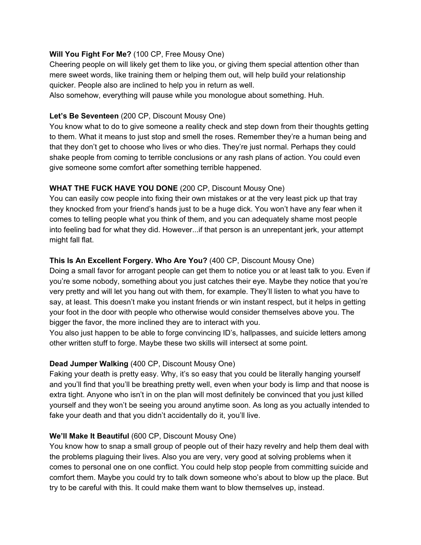#### **Will You Fight For Me?** (100 CP, Free Mousy One)

Cheering people on will likely get them to like you, or giving them special attention other than mere sweet words, like training them or helping them out, will help build your relationship quicker. People also are inclined to help you in return as well.

Also somehow, everything will pause while you monologue about something. Huh.

## **Let's Be Seventeen** (200 CP, Discount Mousy One)

You know what to do to give someone a reality check and step down from their thoughts getting to them. What it means to just stop and smell the roses. Remember they're a human being and that they don't get to choose who lives or who dies. They're just normal. Perhaps they could shake people from coming to terrible conclusions or any rash plans of action. You could even give someone some comfort after something terrible happened.

## **WHAT THE FUCK HAVE YOU DONE** (200 CP, Discount Mousy One)

You can easily cow people into fixing their own mistakes or at the very least pick up that tray they knocked from your friend's hands just to be a huge dick. You won't have any fear when it comes to telling people what you think of them, and you can adequately shame most people into feeling bad for what they did. However...if that person is an unrepentant jerk, your attempt might fall flat.

## **This Is An Excellent Forgery. Who Are You?** (400 CP, Discount Mousy One)

Doing a small favor for arrogant people can get them to notice you or at least talk to you. Even if you're some nobody, something about you just catches their eye. Maybe they notice that you're very pretty and will let you hang out with them, for example. They'll listen to what you have to say, at least. This doesn't make you instant friends or win instant respect, but it helps in getting your foot in the door with people who otherwise would consider themselves above you. The bigger the favor, the more inclined they are to interact with you.

You also just happen to be able to forge convincing ID's, hallpasses, and suicide letters among other written stuff to forge. Maybe these two skills will intersect at some point.

## **Dead Jumper Walking** (400 CP, Discount Mousy One)

Faking your death is pretty easy. Why, it's so easy that you could be literally hanging yourself and you'll find that you'll be breathing pretty well, even when your body is limp and that noose is extra tight. Anyone who isn't in on the plan will most definitely be convinced that you just killed yourself and they won't be seeing you around anytime soon. As long as you actually intended to fake your death and that you didn't accidentally do it, you'll live.

## **We'll Make It Beautiful** (600 CP, Discount Mousy One)

You know how to snap a small group of people out of their hazy revelry and help them deal with the problems plaguing their lives. Also you are very, very good at solving problems when it comes to personal one on one conflict. You could help stop people from committing suicide and comfort them. Maybe you could try to talk down someone who's about to blow up the place. But try to be careful with this. It could make them want to blow themselves up, instead.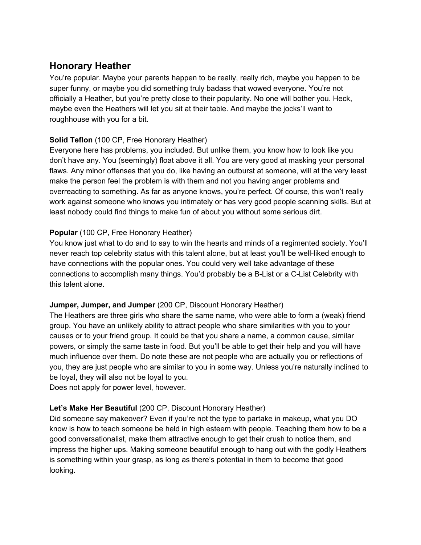# **Honorary Heather**

You're popular. Maybe your parents happen to be really, really rich, maybe you happen to be super funny, or maybe you did something truly badass that wowed everyone. You're not officially a Heather, but you're pretty close to their popularity. No one will bother you. Heck, maybe even the Heathers will let you sit at their table. And maybe the jocks'll want to roughhouse with you for a bit.

## **Solid Teflon** (100 CP, Free Honorary Heather)

Everyone here has problems, you included. But unlike them, you know how to look like you don't have any. You (seemingly) float above it all. You are very good at masking your personal flaws. Any minor offenses that you do, like having an outburst at someone, will at the very least make the person feel the problem is with them and not you having anger problems and overreacting to something. As far as anyone knows, you're perfect. Of course, this won't really work against someone who knows you intimately or has very good people scanning skills. But at least nobody could find things to make fun of about you without some serious dirt.

## **Popular** (100 CP, Free Honorary Heather)

You know just what to do and to say to win the hearts and minds of a regimented society. You'll never reach top celebrity status with this talent alone, but at least you'll be well-liked enough to have connections with the popular ones. You could very well take advantage of these connections to accomplish many things. You'd probably be a B-List or a C-List Celebrity with this talent alone.

## **Jumper, Jumper, and Jumper** (200 CP, Discount Honorary Heather)

The Heathers are three girls who share the same name, who were able to form a (weak) friend group. You have an unlikely ability to attract people who share similarities with you to your causes or to your friend group. It could be that you share a name, a common cause, similar powers, or simply the same taste in food. But you'll be able to get their help and you will have much influence over them. Do note these are not people who are actually you or reflections of you, they are just people who are similar to you in some way. Unless you're naturally inclined to be loyal, they will also not be loyal to you.

Does not apply for power level, however.

## **Let's Make Her Beautiful** (200 CP, Discount Honorary Heather)

Did someone say makeover? Even if you're not the type to partake in makeup, what you DO know is how to teach someone be held in high esteem with people. Teaching them how to be a good conversationalist, make them attractive enough to get their crush to notice them, and impress the higher ups. Making someone beautiful enough to hang out with the godly Heathers is something within your grasp, as long as there's potential in them to become that good looking.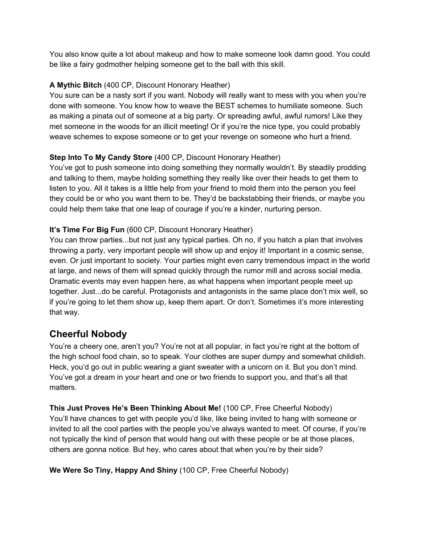You also know quite a lot about makeup and how to make someone look damn good. You could be like a fairy godmother helping someone get to the ball with this skill.

# **A Mythic Bitch** (400 CP, Discount Honorary Heather)

You sure can be a nasty sort if you want. Nobody will really want to mess with you when you're done with someone. You know how to weave the BEST schemes to humiliate someone. Such as making a pinata out of someone at a big party. Or spreading awful, awful rumors! Like they met someone in the woods for an illicit meeting! Or if you're the nice type, you could probably weave schemes to expose someone or to get your revenge on someone who hurt a friend.

# **Step Into To My Candy Store** (400 CP, Discount Honorary Heather)

You've got to push someone into doing something they normally wouldn't. By steadily prodding and talking to them, maybe holding something they really like over their heads to get them to listen to you. All it takes is a little help from your friend to mold them into the person you feel they could be or who you want them to be. They'd be backstabbing their friends, or maybe you could help them take that one leap of courage if you're a kinder, nurturing person.

## **It's Time For Big Fun** (600 CP, Discount Honorary Heather)

You can throw parties...but not just any typical parties. Oh no, if you hatch a plan that involves throwing a party, very important people will show up and enjoy it! Important in a cosmic sense, even. Or just important to society. Your parties might even carry tremendous impact in the world at large, and news of them will spread quickly through the rumor mill and across social media. Dramatic events may even happen here, as what happens when important people meet up together. Just...do be careful. Protagonists and antagonists in the same place don't mix well, so if you're going to let them show up, keep them apart. Or don't. Sometimes it's more interesting that way.

# **Cheerful Nobody**

You're a cheery one, aren't you? You're not at all popular, in fact you're right at the bottom of the high school food chain, so to speak. Your clothes are super dumpy and somewhat childish. Heck, you'd go out in public wearing a giant sweater with a unicorn on it. But you don't mind. You've got a dream in your heart and one or two friends to support you, and that's all that matters.

**This Just Proves He's Been Thinking About Me!** (100 CP, Free Cheerful Nobody) You'll have chances to get with people you'd like, like being invited to hang with someone or invited to all the cool parties with the people you've always wanted to meet. Of course, if you're not typically the kind of person that would hang out with these people or be at those places, others are gonna notice. But hey, who cares about that when you're by their side?

**We Were So Tiny, Happy And Shiny** (100 CP, Free Cheerful Nobody)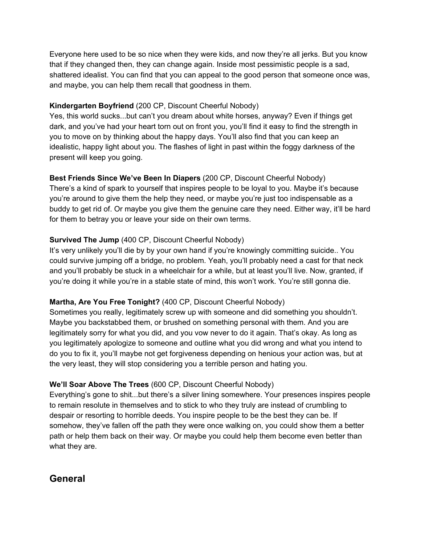Everyone here used to be so nice when they were kids, and now they're all jerks. But you know that if they changed then, they can change again. Inside most pessimistic people is a sad, shattered idealist. You can find that you can appeal to the good person that someone once was, and maybe, you can help them recall that goodness in them.

## **Kindergarten Boyfriend** (200 CP, Discount Cheerful Nobody)

Yes, this world sucks...but can't you dream about white horses, anyway? Even if things get dark, and you've had your heart torn out on front you, you'll find it easy to find the strength in you to move on by thinking about the happy days. You'll also find that you can keep an idealistic, happy light about you. The flashes of light in past within the foggy darkness of the present will keep you going.

# **Best Friends Since We've Been In Diapers** (200 CP, Discount Cheerful Nobody)

There's a kind of spark to yourself that inspires people to be loyal to you. Maybe it's because you're around to give them the help they need, or maybe you're just too indispensable as a buddy to get rid of. Or maybe you give them the genuine care they need. Either way, it'll be hard for them to betray you or leave your side on their own terms.

## **Survived The Jump** (400 CP, Discount Cheerful Nobody)

It's very unlikely you'll die by by your own hand if you're knowingly committing suicide.. You could survive jumping off a bridge, no problem. Yeah, you'll probably need a cast for that neck and you'll probably be stuck in a wheelchair for a while, but at least you'll live. Now, granted, if you're doing it while you're in a stable state of mind, this won't work. You're still gonna die.

# **Martha, Are You Free Tonight?** (400 CP, Discount Cheerful Nobody)

Sometimes you really, legitimately screw up with someone and did something you shouldn't. Maybe you backstabbed them, or brushed on something personal with them. And you are legitimately sorry for what you did, and you vow never to do it again. That's okay. As long as you legitimately apologize to someone and outline what you did wrong and what you intend to do you to fix it, you'll maybe not get forgiveness depending on henious your action was, but at the very least, they will stop considering you a terrible person and hating you.

# **We'll Soar Above The Trees** (600 CP, Discount Cheerful Nobody)

Everything's gone to shit...but there's a silver lining somewhere. Your presences inspires people to remain resolute in themselves and to stick to who they truly are instead of crumbling to despair or resorting to horrible deeds. You inspire people to be the best they can be. If somehow, they've fallen off the path they were once walking on, you could show them a better path or help them back on their way. Or maybe you could help them become even better than what they are.

# **General**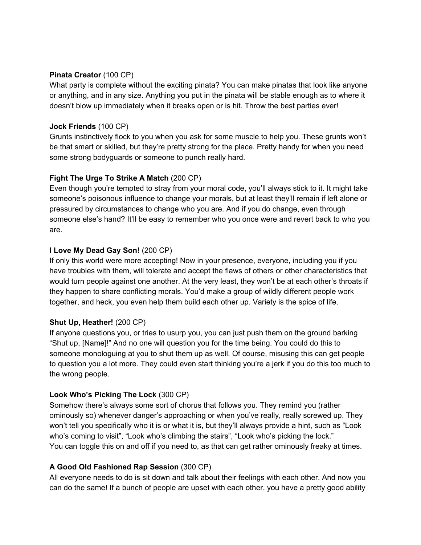#### **Pinata Creator** (100 CP)

What party is complete without the exciting pinata? You can make pinatas that look like anyone or anything, and in any size. Anything you put in the pinata will be stable enough as to where it doesn't blow up immediately when it breaks open or is hit. Throw the best parties ever!

#### **Jock Friends** (100 CP)

Grunts instinctively flock to you when you ask for some muscle to help you. These grunts won't be that smart or skilled, but they're pretty strong for the place. Pretty handy for when you need some strong bodyguards or someone to punch really hard.

## **Fight The Urge To Strike A Match** (200 CP)

Even though you're tempted to stray from your moral code, you'll always stick to it. It might take someone's poisonous influence to change your morals, but at least they'll remain if left alone or pressured by circumstances to change who you are. And if you do change, even through someone else's hand? It'll be easy to remember who you once were and revert back to who you are.

## **I Love My Dead Gay Son!** (200 CP)

If only this world were more accepting! Now in your presence, everyone, including you if you have troubles with them, will tolerate and accept the flaws of others or other characteristics that would turn people against one another. At the very least, they won't be at each other's throats if they happen to share conflicting morals. You'd make a group of wildly different people work together, and heck, you even help them build each other up. Variety is the spice of life.

## **Shut Up, Heather!** (200 CP)

If anyone questions you, or tries to usurp you, you can just push them on the ground barking "Shut up, [Name]!" And no one will question you for the time being. You could do this to someone monologuing at you to shut them up as well. Of course, misusing this can get people to question you a lot more. They could even start thinking you're a jerk if you do this too much to the wrong people.

## **Look Who's Picking The Lock** (300 CP)

Somehow there's always some sort of chorus that follows you. They remind you (rather ominously so) whenever danger's approaching or when you've really, really screwed up. They won't tell you specifically who it is or what it is, but they'll always provide a hint, such as "Look who's coming to visit", "Look who's climbing the stairs", "Look who's picking the lock." You can toggle this on and off if you need to, as that can get rather ominously freaky at times.

## **A Good Old Fashioned Rap Session** (300 CP)

All everyone needs to do is sit down and talk about their feelings with each other. And now you can do the same! If a bunch of people are upset with each other, you have a pretty good ability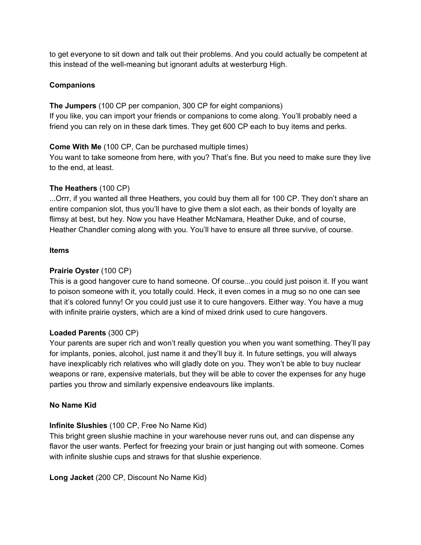to get everyone to sit down and talk out their problems. And you could actually be competent at this instead of the well-meaning but ignorant adults at westerburg High.

## **Companions**

**The Jumpers** (100 CP per companion, 300 CP for eight companions) If you like, you can import your friends or companions to come along. You'll probably need a friend you can rely on in these dark times. They get 600 CP each to buy items and perks.

## **Come With Me** (100 CP, Can be purchased multiple times)

You want to take someone from here, with you? That's fine. But you need to make sure they live to the end, at least.

## **The Heathers** (100 CP)

...Orrr, if you wanted all three Heathers, you could buy them all for 100 CP. They don't share an entire companion slot, thus you'll have to give them a slot each, as their bonds of loyalty are flimsy at best, but hey. Now you have Heather McNamara, Heather Duke, and of course, Heather Chandler coming along with you. You'll have to ensure all three survive, of course.

## **Items**

## **Prairie Oyster** (100 CP)

This is a good hangover cure to hand someone. Of course...you could just poison it. If you want to poison someone with it, you totally could. Heck, it even comes in a mug so no one can see that it's colored funny! Or you could just use it to cure hangovers. Either way. You have a mug with infinite prairie oysters, which are a kind of mixed drink used to cure hangovers.

## **Loaded Parents** (300 CP)

Your parents are super rich and won't really question you when you want something. They'll pay for implants, ponies, alcohol, just name it and they'll buy it. In future settings, you will always have inexplicably rich relatives who will gladly dote on you. They won't be able to buy nuclear weapons or rare, expensive materials, but they will be able to cover the expenses for any huge parties you throw and similarly expensive endeavours like implants.

## **No Name Kid**

## **Infinite Slushies** (100 CP, Free No Name Kid)

This bright green slushie machine in your warehouse never runs out, and can dispense any flavor the user wants. Perfect for freezing your brain or just hanging out with someone. Comes with infinite slushie cups and straws for that slushie experience.

**Long Jacket** (200 CP, Discount No Name Kid)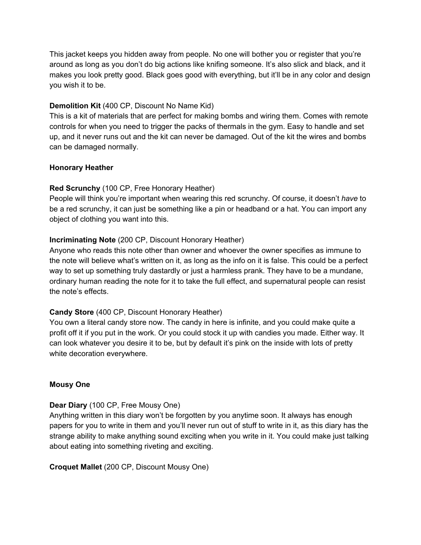This jacket keeps you hidden away from people. No one will bother you or register that you're around as long as you don't do big actions like knifing someone. It's also slick and black, and it makes you look pretty good. Black goes good with everything, but it'll be in any color and design you wish it to be.

#### **Demolition Kit** (400 CP, Discount No Name Kid)

This is a kit of materials that are perfect for making bombs and wiring them. Comes with remote controls for when you need to trigger the packs of thermals in the gym. Easy to handle and set up, and it never runs out and the kit can never be damaged. Out of the kit the wires and bombs can be damaged normally.

#### **Honorary Heather**

## **Red Scrunchy** (100 CP, Free Honorary Heather)

People will think you're important when wearing this red scrunchy. Of course, it doesn't *have* to be a red scrunchy, it can just be something like a pin or headband or a hat. You can import any object of clothing you want into this.

## **Incriminating Note** (200 CP, Discount Honorary Heather)

Anyone who reads this note other than owner and whoever the owner specifies as immune to the note will believe what's written on it, as long as the info on it is false. This could be a perfect way to set up something truly dastardly or just a harmless prank. They have to be a mundane, ordinary human reading the note for it to take the full effect, and supernatural people can resist the note's effects.

## **Candy Store** (400 CP, Discount Honorary Heather)

You own a literal candy store now. The candy in here is infinite, and you could make quite a profit off it if you put in the work. Or you could stock it up with candies you made. Either way. It can look whatever you desire it to be, but by default it's pink on the inside with lots of pretty white decoration everywhere.

#### **Mousy One**

## **Dear Diary** (100 CP, Free Mousy One)

Anything written in this diary won't be forgotten by you anytime soon. It always has enough papers for you to write in them and you'll never run out of stuff to write in it, as this diary has the strange ability to make anything sound exciting when you write in it. You could make just talking about eating into something riveting and exciting.

#### **Croquet Mallet** (200 CP, Discount Mousy One)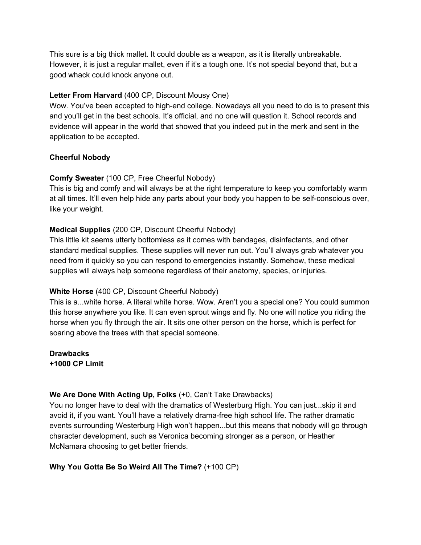This sure is a big thick mallet. It could double as a weapon, as it is literally unbreakable. However, it is just a regular mallet, even if it's a tough one. It's not special beyond that, but a good whack could knock anyone out.

## **Letter From Harvard** (400 CP, Discount Mousy One)

Wow. You've been accepted to high-end college. Nowadays all you need to do is to present this and you'll get in the best schools. It's official, and no one will question it. School records and evidence will appear in the world that showed that you indeed put in the merk and sent in the application to be accepted.

## **Cheerful Nobody**

## **Comfy Sweater** (100 CP, Free Cheerful Nobody)

This is big and comfy and will always be at the right temperature to keep you comfortably warm at all times. It'll even help hide any parts about your body you happen to be self-conscious over, like your weight.

## **Medical Supplies** (200 CP, Discount Cheerful Nobody)

This little kit seems utterly bottomless as it comes with bandages, disinfectants, and other standard medical supplies. These supplies will never run out. You'll always grab whatever you need from it quickly so you can respond to emergencies instantly. Somehow, these medical supplies will always help someone regardless of their anatomy, species, or injuries.

## **White Horse** (400 CP, Discount Cheerful Nobody)

This is a...white horse. A literal white horse. Wow. Aren't you a special one? You could summon this horse anywhere you like. It can even sprout wings and fly. No one will notice you riding the horse when you fly through the air. It sits one other person on the horse, which is perfect for soaring above the trees with that special someone.

**Drawbacks +1000 CP Limit**

# **We Are Done With Acting Up, Folks** (+0, Can't Take Drawbacks)

You no longer have to deal with the dramatics of Westerburg High. You can just...skip it and avoid it, if you want. You'll have a relatively drama-free high school life. The rather dramatic events surrounding Westerburg High won't happen...but this means that nobody will go through character development, such as Veronica becoming stronger as a person, or Heather McNamara choosing to get better friends.

# **Why You Gotta Be So Weird All The Time?** (+100 CP)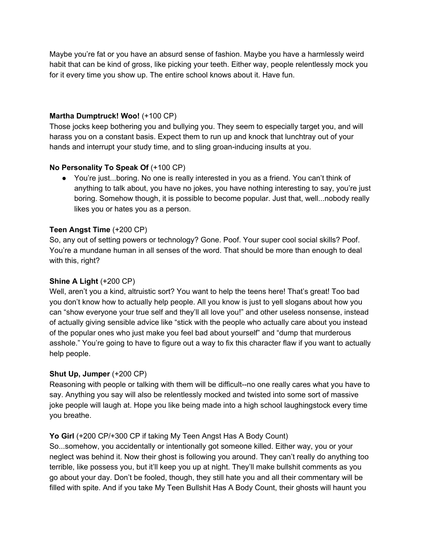Maybe you're fat or you have an absurd sense of fashion. Maybe you have a harmlessly weird habit that can be kind of gross, like picking your teeth. Either way, people relentlessly mock you for it every time you show up. The entire school knows about it. Have fun.

#### **Martha Dumptruck! Woo!** (+100 CP)

Those jocks keep bothering you and bullying you. They seem to especially target you, and will harass you on a constant basis. Expect them to run up and knock that lunchtray out of your hands and interrupt your study time, and to sling groan-inducing insults at you.

## **No Personality To Speak Of** (+100 CP)

● You're just...boring. No one is really interested in you as a friend. You can't think of anything to talk about, you have no jokes, you have nothing interesting to say, you're just boring. Somehow though, it is possible to become popular. Just that, well...nobody really likes you or hates you as a person.

#### **Teen Angst Time** (+200 CP)

So, any out of setting powers or technology? Gone. Poof. Your super cool social skills? Poof. You're a mundane human in all senses of the word. That should be more than enough to deal with this, right?

## **Shine A Light** (+200 CP)

Well, aren't you a kind, altruistic sort? You want to help the teens here! That's great! Too bad you don't know how to actually help people. All you know is just to yell slogans about how you can "show everyone your true self and they'll all love you!" and other useless nonsense, instead of actually giving sensible advice like "stick with the people who actually care about you instead of the popular ones who just make you feel bad about yourself" and "dump that murderous asshole." You're going to have to figure out a way to fix this character flaw if you want to actually help people.

## **Shut Up, Jumper** (+200 CP)

Reasoning with people or talking with them will be difficult--no one really cares what you have to say. Anything you say will also be relentlessly mocked and twisted into some sort of massive joke people will laugh at. Hope you like being made into a high school laughingstock every time you breathe.

## **Yo Girl** (+200 CP/+300 CP if taking My Teen Angst Has A Body Count)

So...somehow, you accidentally or intentionally got someone killed. Either way, you or your neglect was behind it. Now their ghost is following you around. They can't really do anything too terrible, like possess you, but it'll keep you up at night. They'll make bullshit comments as you go about your day. Don't be fooled, though, they still hate you and all their commentary will be filled with spite. And if you take My Teen Bullshit Has A Body Count, their ghosts will haunt you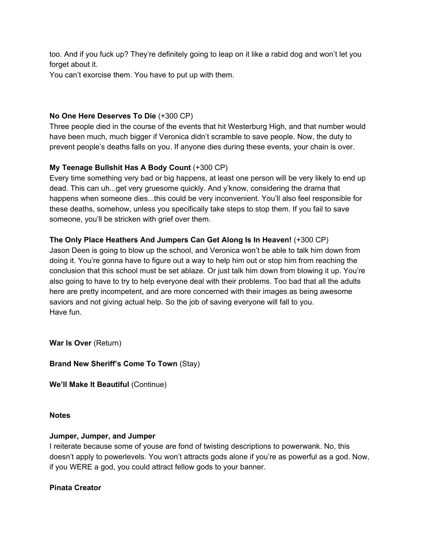too. And if you fuck up? They're definitely going to leap on it like a rabid dog and won't let you forget about it.

You can't exorcise them. You have to put up with them.

#### **No One Here Deserves To Die** (+300 CP)

Three people died in the course of the events that hit Westerburg High, and that number would have been much, much bigger if Veronica didn't scramble to save people. Now, the duty to prevent people's deaths falls on you. If anyone dies during these events, your chain is over.

## **My Teenage Bullshit Has A Body Count** (+300 CP)

Every time something very bad or big happens, at least one person will be very likely to end up dead. This can uh...get very gruesome quickly. And y'know, considering the drama that happens when someone dies...this could be very inconvenient. You'll also feel responsible for these deaths, somehow, unless you specifically take steps to stop them. If you fail to save someone, you'll be stricken with grief over them.

## **The Only Place Heathers And Jumpers Can Get Along Is In Heaven!** (+300 CP)

Jason Deen is going to blow up the school, and Veronica won't be able to talk him down from doing it. You're gonna have to figure out a way to help him out or stop him from reaching the conclusion that this school must be set ablaze. Or just talk him down from blowing it up. You're also going to have to try to help everyone deal with their problems. Too bad that all the adults here are pretty incompetent, and are more concerned with their images as being awesome saviors and not giving actual help. So the job of saving everyone will fall to you. Have fun.

**War Is Over** (Return)

## **Brand New Sheriff's Come To Town** (Stay)

**We'll Make It Beautiful** (Continue)

#### **Notes**

#### **Jumper, Jumper, and Jumper**

I reiterate because some of youse are fond of twisting descriptions to powerwank. No, this doesn't apply to powerlevels. You won't attracts gods alone if you're as powerful as a god. Now, if you WERE a god, you could attract fellow gods to your banner.

#### **Pinata Creator**